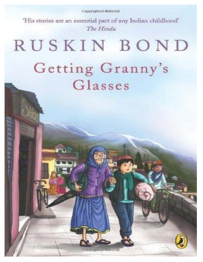Convicined Material

'His stories are an essential part of any Indian childhood' The Hindu

# RUSKIN BOND Getting Granny's Glasses

**Service**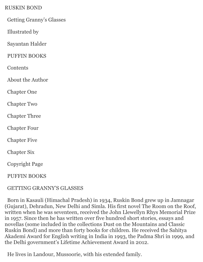### RUSKIN BOND

- Getting Granny's Glasses
- Illustrated by

Sayantan Halder

PUFFIN BOOKS

**Contents** 

About the Author

Chapter One

Chapter Two

Chapter Three

Chapter Four

Chapter Five

Chapter Six

Copyright Page

PUFFIN BOOKS

# GETTING GRANNY'S GLASSES

Born in Kasauli (Himachal Pradesh) in 1934, Ruskin Bond grew up in Jamnagar (Gujarat), Dehradun, New Delhi and Simla. His first novel The Room on the Roof, written when he was seventeen, received the John Llewellyn Rhys Memorial Prize in 1957. Since then he has written over five hundred short stories, essays and novellas (some included in the collections Dust on the Mountains and Classic Ruskin Bond) and more than forty books for children. He received the Sahitya Akademi Award for English writing in India in 1993, the Padma Shri in 1999, and the Delhi government's Lifetime Achievement Award in 2012.

He lives in Landour, Mussoorie, with his extended family.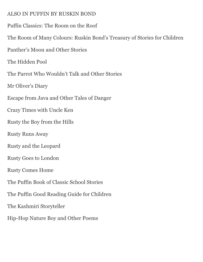## ALSO IN PUFFIN BY RUSKIN BOND

- Puffin Classics: The Room on the Roof
- The Room of Many Colours: Ruskin Bond's Treasury of Stories for Children
- Panther's Moon and Other Stories
- The Hidden Pool
- The Parrot Who Wouldn't Talk and Other Stories
- Mr Oliver's Diary
- Escape from Java and Other Tales of Danger
- Crazy Times with Uncle Ken
- Rusty the Boy from the Hills
- Rusty Runs Away
- Rusty and the Leopard
- Rusty Goes to London
- Rusty Comes Home
- The Puffin Book of Classic School Stories
- The Puffin Good Reading Guide for Children
- The Kashmiri Storyteller
- Hip-Hop Nature Boy and Other Poems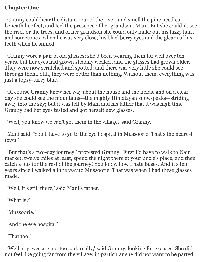#### **Chapter One**

Granny could hear the distant roar of the river, and smell the pine needles beneath her feet, and feel the presence of her grandson, Mani. But she couldn't see the river or the trees; and of her grandson she could only make out his fuzzy hair, and sometimes, when he was very close, his blackberry eyes and the gleam of his teeth when he smiled.

Granny wore a pair of old glasses; she'd been wearing them for well over ten years, but her eyes had grown steadily weaker, and the glasses had grown older. They were now scratched and spotted, and there was very little she could see through them. Still, they were better than nothing. Without them, everything was just a topsy-turvy blur.

Of course Granny knew her way about the house and the fields, and on a clear day she could see the mountains—the mighty Himalayan snow-peaks—striding away into the sky; but it was felt by Mani and his father that it was high time Granny had her eyes tested and got herself new glasses.

'Well, you know we can't get them in the village,' said Granny.

Mani said, 'You'll have to go to the eye hospital in Mussoorie. That's the nearest town.'

'But that's a two-day journey,' protested Granny. 'First I'd have to walk to Nain market, twelve miles at least, spend the night there at your uncle's place, and then catch a bus for the rest of the journey! You know how I hate buses. And it's ten years since I walked all the way to Mussoorie. That was when I had these glasses made.'

'Well, it's still there,' said Mani's father.

'What is?'

'Mussoorie.'

'And the eye hospital?'

'That too.'

'Well, my eyes are not too bad, really,' said Granny, looking for excuses. She did not feel like going far from the village; in particular she did not want to be parted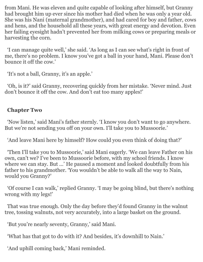from Mani. He was eleven and quite capable of looking after himself, but Granny had brought him up ever since his mother had died when he was only a year old. She was his Nani (maternal grandmother), and had cared for boy and father, cows and hens, and the household all these years, with great energy and devotion. Even her failing eyesight hadn't prevented her from milking cows or preparing meals or harvesting the corn.

'I can manage quite well,' she said. 'As long as I can see what's right in front of me, there's no problem. I know you've got a ball in your hand, Mani. Please don't bounce it off the cow.'

'It's not a ball, Granny, it's an apple.'

'Oh, is it?' said Granny, recovering quickly from her mistake. 'Never mind. Just don't bounce it off the cow. And don't eat too many apples!'

# **Chapter Two**

'Now listen,' said Mani's father sternly. 'I know you don't want to go anywhere. But we're not sending you off on your own. I'll take you to Mussoorie.'

'And leave Mani here by himself? How could you even think of doing that?'

'Then I'll take you to Mussoorie,' said Mani eagerly. 'We can leave Father on his own, can't we? I've been to Mussoorie before, with my school friends. I know where we can stay. But ...' He paused a moment and looked doubtfully from his father to his grandmother. 'You wouldn't be able to walk all the way to Nain, would you Granny?'

'Of course I can walk,' replied Granny. 'I may be going blind, but there's nothing wrong with my legs!'

That was true enough. Only the day before they'd found Granny in the walnut tree, tossing walnuts, not very accurately, into a large basket on the ground.

'But you're nearly seventy, Granny,' said Mani.

'What has that got to do with it? And besides, it's downhill to Nain.'

'And uphill coming back,' Mani reminded.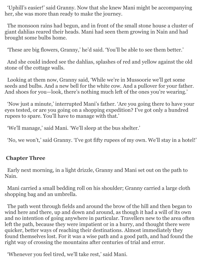'Uphill's easier!' said Granny. Now that she knew Mani might be accompanying her, she was more than ready to make the journey.

The monsoon rains had begun, and in front of the small stone house a cluster of giant dahlias reared their heads. Mani had seen them growing in Nain and had brought some bulbs home.

'These are big flowers, Granny,' he'd said. 'You'll be able to see them better.'

And she could indeed see the dahlias, splashes of red and yellow against the old stone of the cottage walls.

Looking at them now, Granny said, 'While we're in Mussoorie we'll get some seeds and bulbs. And a new bell for the white cow. And a pullover for your father. And shoes for you—look, there's nothing much left of the ones you're wearing.'

'Now just a minute,' interrupted Mani's father. 'Are you going there to have your eyes tested, or are you going on a shopping expedition? I've got only a hundred rupees to spare. You'll have to manage with that.'

'We'll manage,' said Mani. 'We'll sleep at the bus shelter.'

'No, we won't,' said Granny. 'I've got fifty rupees of my own. We'll stay in a hotel!'

## **Chapter Three**

Early next morning, in a light drizzle, Granny and Mani set out on the path to Nain.

Mani carried a small bedding roll on his shoulder; Granny carried a large cloth shopping bag and an umbrella.

The path went through fields and around the brow of the hill and then began to wind here and there, up and down and around, as though it had a will of its own and no intention of going anywhere in particular. Travellers new to the area often left the path, because they were impatient or in a hurry, and thought there were quicker, better ways of reaching their destinations. Almost immediately they found themselves lost. For it was a wise path and a good path, and had found the right way of crossing the mountains after centuries of trial and error.

'Whenever you feel tired, we'll take rest,' said Mani.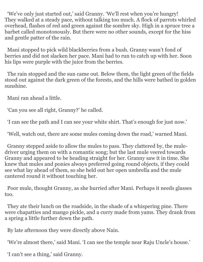'We've only just started out,' said Granny. 'We'll rest when you're hungry! They walked at a steady pace, without talking too much. A flock of parrots whirled overhead, flashes of red and green against the sombre sky. High in a spruce tree a barbet called monotonously. But there were no other sounds, except for the hiss and gentle patter of the rain.

Mani stopped to pick wild blackberries from a bush. Granny wasn't fond of berries and did not slacken her pace. Mani had to run to catch up with her. Soon his lips were purple with the juice from the berries.

The rain stopped and the sun came out. Below them, the light green of the fields stood out against the dark green of the forests, and the hills were bathed in golden sunshine.

Mani ran ahead a little.

'Can you see all right, Granny?' he called.

'I can see the path and I can see your white shirt. That's enough for just now.'

'Well, watch out, there are some mules coming down the road,' warned Mani.

Granny stepped aside to allow the mules to pass. They clattered by, the muledriver urging them on with a romantic song; but the last mule veered towards Granny and appeared to be heading straight for her. Granny saw it in time. She knew that mules and ponies always preferred going round objects, if they could see what lay ahead of them, so she held out her open umbrella and the mule cantered round it without touching her.

Poor mule, thought Granny, as she hurried after Mani. Perhaps it needs glasses too.

They ate their lunch on the roadside, in the shade of a whispering pine. There were chapatties and mango pickle, and a curry made from yams. They drank from a spring a little further down the path.

By late afternoon they were directly above Nain.

'We're almost there,' said Mani. 'I can see the temple near Raju Uncle's house.'

'I can't see a thing,' said Granny.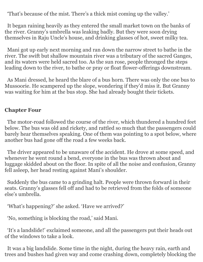'That's because of the mist. There's a thick mist coming up the valley.'

It began raining heavily as they entered the small market town on the banks of the river. Granny's umbrella was leaking badly. But they were soon drying themselves in Raju Uncle's house, and drinking glasses of hot, sweet milky tea.

Mani got up early next morning and ran down the narrow street to bathe in the river. The swift but shallow mountain river was a tributary of the sacred Ganges, and its waters were held sacred too. As the sun rose, people thronged the steps leading down to the river, to bathe or pray or float flower-offerings downstream.

As Mani dressed, he heard the blare of a bus horn. There was only the one bus to Mussoorie. He scampered up the slope, wondering if they'd miss it. But Granny was waiting for him at the bus stop. She had already bought their tickets.

#### **Chapter Four**

The motor-road followed the course of the river, which thundered a hundred feet below. The bus was old and rickety, and rattled so much that the passengers could barely hear themselves speaking. One of them was pointing to a spot below, where another bus had gone off the road a few weeks back.

The driver appeared to be unaware of the accident. He drove at some speed, and whenever he went round a bend, everyone in the bus was thrown about and luggage skidded about on the floor. In spite of all the noise and confusion, Granny fell asleep, her head resting against Mani's shoulder.

Suddenly the bus came to a grinding halt. People were thrown forward in their seats. Granny's glasses fell off and had to be retrieved from the folds of someone else's umbrella.

'What's happening?' she asked. 'Have we arrived?'

'No, something is blocking the road,' said Mani.

'It's a landslide!' exclaimed someone, and all the passengers put their heads out of the windows to take a look.

It was a big landslide. Some time in the night, during the heavy rain, earth and trees and bushes had given way and come crashing down, completely blocking the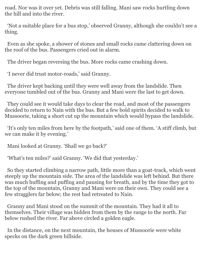road. Nor was it over yet. Debris was still falling. Mani saw rocks hurtling down the hill and into the river.

'Not a suitable place for a bus stop,' observed Granny, although she couldn't see a thing.

Even as she spoke, a shower of stones and small rocks came clattering down on the roof of the bus. Passengers cried out in alarm.

The driver began reversing the bus. More rocks came crashing down.

'I never did trust motor-roads,' said Granny.

The driver kept backing until they were well away from the landslide. Then everyone tumbled out of the bus. Granny and Mani were the last to get down.

They could see it would take days to clear the road, and most of the passengers decided to return to Nain with the bus. But a few bold spirits decided to walk to Mussoorie, taking a short cut up the mountain which would bypass the landslide.

'It's only ten miles from here by the footpath,' said one of them. 'A stiff climb, but we can make it by evening.'

Mani looked at Granny. 'Shall we go back?'

'What's ten miles?' said Granny. 'We did that yesterday.'

So they started climbing a narrow path, little more than a goat-track, which went steeply up the mountain side. The area of the landslide was left behind. But there was much huffing and puffing and pausing for breath, and by the time they got to the top of the mountain, Granny and Mani were on their own. They could see a few stragglers far below; the rest had retreated to Nain.

Granny and Mani stood on the summit of the mountain. They had it all to themselves. Their village was hidden from them by the range to the north. Far below rushed the river. Far above circled a golden eagle.

In the distance, on the next mountain, the houses of Mussoorie were white specks on the dark green hillside.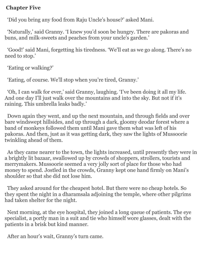#### **Chapter Five**

'Did you bring any food from Raju Uncle's house?' asked Mani.

'Naturally,' said Granny. 'I knew you'd soon be hungry. There are pakoras and buns, and milk-sweets and peaches from your uncle's garden.'

'Good!' said Mani, forgetting his tiredness. 'We'll eat as we go along. There's no need to stop.'

'Eating or walking?'

'Eating, of course. We'll stop when you're tired, Granny.'

'Oh, I can walk for ever,' said Granny, laughing. 'I've been doing it all my life. And one day I'll just walk over the mountains and into the sky. But not if it's raining. This umbrella leaks badly.'

Down again they went, and up the next mountain, and through fields and over bare windswept hillsides, and up through a dark, gloomy deodar forest where a band of monkeys followed them until Mani gave them what was left of his pakoras. And then, just as it was getting dark, they saw the lights of Mussoorie twinkling ahead of them.

As they came nearer to the town, the lights increased, until presently they were in a brightly lit bazaar, swallowed up by crowds of shoppers, strollers, tourists and merrymakers. Mussoorie seemed a very jolly sort of place for those who had money to spend. Jostled in the crowds, Granny kept one hand firmly on Mani's shoulder so that she did not lose him.

They asked around for the cheapest hotel. But there were no cheap hotels. So they spent the night in a dharamsala adjoining the temple, where other pilgrims had taken shelter for the night.

Next morning, at the eye hospital, they joined a long queue of patients. The eye specialist, a portly man in a suit and tie who himself wore glasses, dealt with the patients in a brisk but kind manner.

After an hour's wait, Granny's turn came.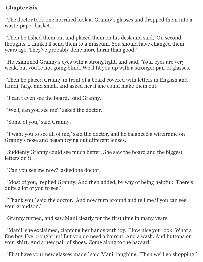#### **Chapter Six**

The doctor took one horrified look at Granny's glasses and dropped them into a waste-paper basket.

Then he fished them out and placed them on his desk and said, 'On second thoughts, I think I'll send them to a museum. You should have changed them years ago. They've probably done more harm than good.'

He examined Granny's eyes with a strong light, and said, 'Your eyes are very weak, but you're not going blind. We'll fit you up with a stronger pair of glasses.'

Then he placed Granny in front of a board covered with letters in English and Hindi, large and small, and asked her if she could make them out.

'I can't even see the board,' said Granny.

'Well, can you see me?' asked the doctor.

'Some of you,' said Granny.

'I want you to see all of me,' said the doctor, and he balanced a wireframe on Granny's nose and began trying out different lenses.

Suddenly Granny could see much better. She saw the board and the biggest letters on it.

'Can you see me now?' asked the doctor.

'Most of you,' replied Granny. And then added, by way of being helpful: 'There's quite a lot of you to see.'

'Thank you,' said the doctor. 'And now turn around and tell me if you can see your grandson.'

Granny turned, and saw Mani clearly for the first time in many years.

'Mani!' she exclaimed, clapping her hands with joy. 'How nice you look! What a fine boy I've brought up! But you do need a haircut. And a wash. And buttons on your shirt. And a new pair of shoes. Come along to the bazaar!'

'First have your new glasses made,' said Mani, laughing. 'Then we'll go shopping!'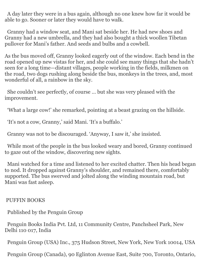A day later they were in a bus again, although no one knew how far it would be able to go. Sooner or later they would have to walk.

Granny had a window seat, and Mani sat beside her. He had new shoes and Granny had a new umbrella, and they had also bought a thick woollen Tibetan pullover for Mani's father. And seeds and bulbs and a cowbell.

As the bus moved off, Granny looked eagerly out of the window. Each bend in the road opened up new vistas for her, and she could see many things that she hadn't seen for a long time—distant villages, people working in the fields, milkmen on the road, two dogs rushing along beside the bus, monkeys in the trees, and, most wonderful of all, a rainbow in the sky.

She couldn't see perfectly, of course … but she was very pleased with the improvement.

'What a large cow!' she remarked, pointing at a beast grazing on the hillside.

'It's not a cow, Granny,' said Mani. 'It's a buffalo.'

Granny was not to be discouraged. 'Anyway, I saw it,' she insisted.

While most of the people in the bus looked weary and bored, Granny continued to gaze out of the window, discovering new sights.

Mani watched for a time and listened to her excited chatter. Then his head began to nod. It dropped against Granny's shoulder, and remained there, comfortably supported. The bus swerved and jolted along the winding mountain road, but Mani was fast asleep.

#### PUFFIN BOOKS

Published by the Penguin Group

Penguin Books India Pvt. Ltd, 11 Community Centre, Panchsheel Park, New Delhi 110 017, India

Penguin Group (USA) Inc., 375 Hudson Street, New York, New York 10014, USA

Penguin Group (Canada), 90 Eglinton Avenue East, Suite 700, Toronto, Ontario,